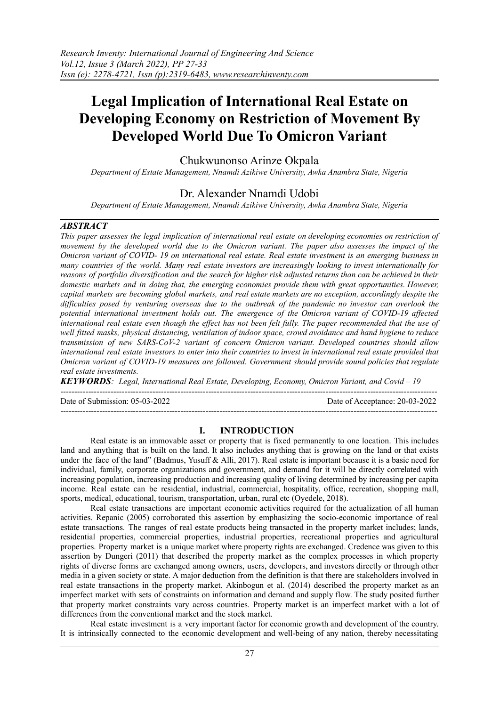# **Legal Implication of International Real Estate on Developing Economy on Restriction of Movement By Developed World Due To Omicron Variant**

Chukwunonso Arinze Okpala

*Department of Estate Management, Nnamdi Azikiwe University, Awka Anambra State, Nigeria*

# Dr. Alexander Nnamdi Udobi

*Department of Estate Management, Nnamdi Azikiwe University, Awka Anambra State, Nigeria*

# *ABSTRACT*

*This paper assesses the legal implication of international real estate on developing economies on restriction of* movement by the developed world due to the Omicron variant. The paper also assesses the impact of the Omicron variant of COVID-19 on international real estate. Real estate investment is an emerging business in *many countries of the world. Many real estate investors are increasingly looking to invest internationally for* reasons of portfolio diversification and the search for higher risk adjusted returns than can be achieved in their *domestic markets and in doing that, the emerging economies provide them with great opportunities. However, capital markets are becoming global markets, and real estate markets are no exception, accordingly despite the* difficulties posed by venturing overseas due to the outbreak of the pandemic no investor can overlook the *potential international investment holds out. The emergence of the Omicron variant of COVID-19 af ected* international real estate even though the effect has not been felt fully. The paper recommended that the use of *well fitted masks, physical distancing, ventilation of indoor space, crowd avoidance and hand hygiene to reduce transmission of new SARS-CoV-2 variant of concern Omicron variant. Developed countries should allow* international real estate investors to enter into their countries to invest in international real estate provided that *Omicron variant of COVID-19 measures are followed. Government should provide sound policies that regulate real estate investments.*

*KEYWORDS: Legal, International Real Estate, Developing, Economy, Omicron Variant, and Covid – 19*

Date of Submission: 05-03-2022 Date of Acceptance: 20-03-2022

---------------------------------------------------------------------------------------------------------------------------------------

---------------------------------------------------------------------------------------------------------------------------------------

# **I. INTRODUCTION**

Real estate is an immovable asset or property that is fixed permanently to one location. This includes land and anything that is built on the land. It also includes anything that is growing on the land or that exists under the face of the land" (Badmus, Yusuff & Alli, 2017). Real estate is important because it is a basic need for individual, family, corporate organizations and government, and demand for it will be directly correlated with increasing population, increasing production and increasing quality of living determined by increasing per capita income. Real estate can be residential, industrial, commercial, hospitality, office, recreation, shopping mall, sports, medical, educational, tourism, transportation, urban, rural etc (Oyedele, 2018).

Real estate transactions are important economic activities required for the actualization of all human activities. Repanic (2005) corroborated this assertion by emphasizing the socio-economic importance of real estate transactions. The ranges of real estate products being transacted in the property market includes; lands, residential properties, commercial properties, industrial properties, recreational properties and agricultural properties. Property market is a unique market where property rights are exchanged. Credence was given to this assertion by Dungeri (2011) that described the property market as the complex processes in which property rights of diverse forms are exchanged among owners, users, developers, and investors directly or through other media in a given society or state. A major deduction from the definition is that there are stakeholders involved in real estate transactions in the property market. Akinbogun et al. (2014) described the property market as an imperfect market with sets of constraints on information and demand and supply flow. The study posited further that property market constraints vary across countries. Property market is an imperfect market with a lot of differences from the conventional market and the stock market.

Real estate investment is a very important factor for economic growth and development of the country. It is intrinsically connected to the economic development and well-being of any nation, thereby necessitating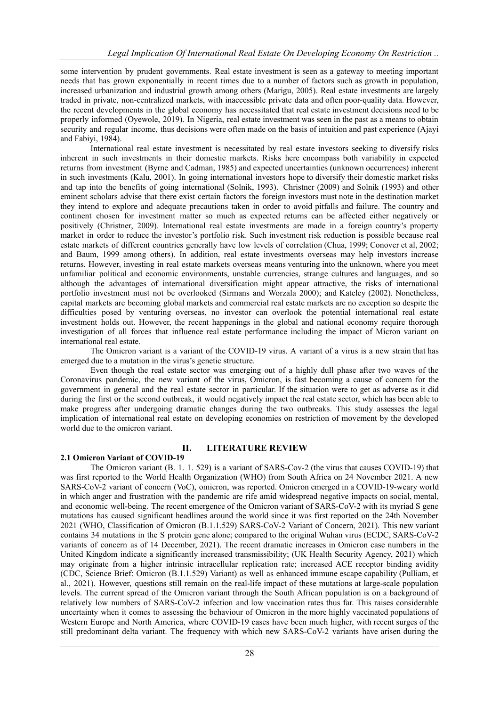some intervention by prudent governments. Real estate investment is seen as a gateway to meeting important needs that has grown exponentially in recent times due to a number of factors such as growth in population, increased urbanization and industrial growth among others (Marigu, 2005). Real estate investments are largely traded in private, non-centralized markets, with inaccessible private data and often poor-quality data. However, the recent developments in the global economy has necessitated that real estate investment decisions need to be properly informed (Oyewole, 2019). In Nigeria, real estate investment was seen in the past as a means to obtain security and regular income, thus decisions were often made on the basis of intuition and past experience (Ajayi and Fabiyi, 1984).

International real estate investment is necessitated by real estate investors seeking to diversify risks inherent in such investments in their domestic markets. Risks here encompass both variability in expected returns from investment (Byrne and Cadman, 1985) and expected uncertainties (unknown occurrences) inherent in such investments (Kalu, 2001). In going international investors hope to diversify their domestic market risks and tap into the benefits of going international (Solnik, 1993). Christner (2009) and Solnik (1993) and other eminent scholars advise that there exist certain factors the foreign investors must note in the destination market they intend to explore and adequate precautions taken in order to avoid pitfalls and failure. The country and continent chosen for investment matter so much as expected returns can be affected either negatively or positively (Christner, 2009). International real estate investments are made in a foreign country's property market in order to reduce the investor's portfolio risk. Such investment risk reduction is possible because real estate markets of different countries generally have low levels of correlation (Chua, 1999; Conover et al, 2002; and Baum, 1999 among others). In addition, real estate investments overseas may help investors increase returns. However, investing in real estate markets overseas means venturing into the unknown, where you meet unfamiliar political and economic environments, unstable currencies, strange cultures and languages, and so although the advantages of international diversification might appear attractive, the risks of international portfolio investment must not be overlooked (Sirmans and Worzala 2000); and Kateley (2002). Nonetheless, capital markets are becoming global markets and commercial real estate markets are no exception so despite the difficulties posed by venturing overseas, no investor can overlook the potential international real estate investment holds out. However, the recent happenings in the global and national economy require thorough investigation of all forces that influence real estate performance including the impact of Micron variant on international real estate.

The Omicron variant is a variant of the COVID-19 virus. A variant of a virus is a new strain that has emerged due to a mutation in the virus's genetic structure.

Even though the real estate sector was emerging out of a highly dull phase after two waves of the Coronavirus pandemic, the new variant of the virus, Omicron, is fast becoming a cause of concern for the government in general and the real estate sector in particular. If the situation were to get as adverse as it did during the first or the second outbreak, it would negatively impact the real estate sector, which has been able to make progress after undergoing dramatic changes during the two outbreaks. This study assesses the legal implication of international real estate on developing economies on restriction of movement by the developed world due to the omicron variant.

# **2.1 Omicron Variant of COVID-19**

#### **II. LITERATURE REVIEW**

The Omicron variant (B. 1. 1. 529) is a variant of SARS-Cov-2 (the virus that causes COVID-19) that was first reported to the World Health Organization (WHO) from South Africa on 24 November 2021. A new SARS-CoV-2 variant of concern (VoC), omicron, was reported. Omicron emerged in a COVID-19-weary world in which anger and frustration with the pandemic are rife amid widespread negative impacts on social, mental, and economic well-being. The recent emergence of the Omicron variant of SARS-CoV-2 with its myriad S gene mutations has caused significant headlines around the world since it was first reported on the 24th November 2021 (WHO, Classification of Omicron (B.1.1.529) SARS-CoV-2 Variant of Concern, 2021). This new variant contains 34 mutations in the S protein gene alone; compared to the original Wuhan virus (ECDC, SARS-CoV-2 variants of concern as of 14 December, 2021). The recent dramatic increases in Omicron case numbers in the United Kingdom indicate a significantly increased transmissibility; (UK Health Security Agency, 2021) which may originate from a higher intrinsic intracellular replication rate; increased ACE receptor binding avidity (CDC, Science Brief: Omicron (B.1.1.529) Variant) as well as enhanced immune escape capability (Pulliam, et al., 2021). However, questions still remain on the real-life impact of these mutations at large-scale population levels. The current spread of the Omicron variant through the South African population is on a background of relatively low numbers of SARS-CoV-2 infection and low vaccination rates thus far. This raises considerable uncertainty when it comes to assessing the behaviour of Omicron in the more highly vaccinated populations of Western Europe and North America, where COVID-19 cases have been much higher, with recent surges of the still predominant delta variant. The frequency with which new SARS-CoV-2 variants have arisen during the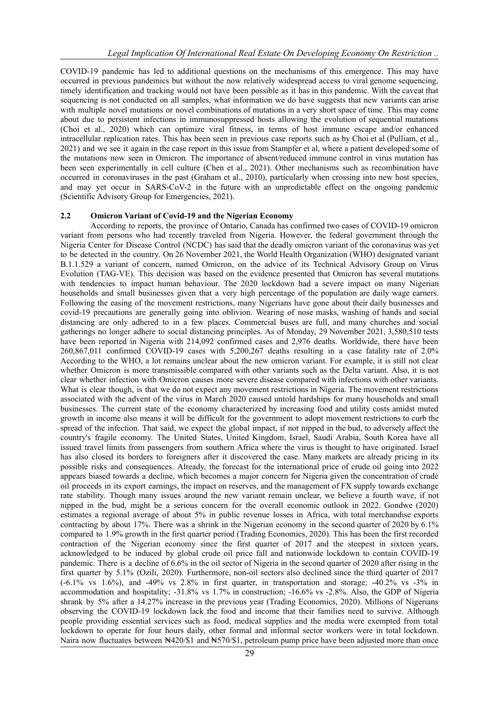COVID-19 pandemic has led to additional questions on the mechanisms of this emergence. This may have occurred in previous pandemics but without the now relatively widespread access to viral genome sequencing, timely identification and tracking would not have been possible as it has in this pandemic. With the caveat that sequencing is not conducted on all samples, what information we do have suggests that new variants can arise with multiple novel mutations or novel combinations of mutations in a very short space of time. This may come about due to persistent infections in immunosuppressed hosts allowing the evolution of sequential mutations (Choi et al., 2020) which can optimize viral fitness, in terms of host immune escape and/or enhanced intracellular replication rates. This has been seen in previous case reports such as by Choi et al (Pulliam, et al., 2021) and we see it again in the case report in this issue from Stampfer et al, where a patient developed some of the mutations now seen in Omicron. The importance of absent/reduced immune control in virus mutation has been seen experimentally in cell culture (Chen et al., 2021). Other mechanisms such as recombination have occurred in coronaviruses in the past (Graham et al., 2010), particularly when crossing into new host species, and may yet occur in SARS-CoV-2 in the future with an unpredictable effect on the ongoing pandemic (Scientific Advisory Group for Emergencies, 2021).

#### **2.2 Omicron Variant of Covid-19 and the Nigerian Economy**

According to reports, the province of Ontario, Canada has confirmed two cases of COVID-19 omicron variant from persons who had recently traveled from Nigeria. However, the federal government through the Nigeria Center for Disease Control (NCDC) has said that the deadly omicron variant of the coronavirus was yet to be detected in the country. On 26 November 2021, the World Health Organization (WHO) designated variant B.1.1.529 a variant of concern, named Omicron, on the advice of its Technical Advisory Group on Virus Evolution (TAG-VE). This decision was based on the evidence presented that Omicron has several mutations with tendencies to impact human behaviour. The 2020 lockdown had a severe impact on many Nigerian households and small businesses given that a very high percentage of the population are daily wage earners. Following the easing of the movement restrictions, many Nigerians have gone about their daily businesses and covid-19 precautions are generally going into oblivion. Wearing of nose masks, washing of hands and social distancing are only adhered to in a few places. Commercial buses are full, and many churches and social gatherings no longer adhere to social distancing principles. As of Monday, 29 November 2021, 3,580,510 tests have been reported in Nigeria with 214,092 confirmed cases and 2,976 deaths. Worldwide, there have been 260,867,011 confirmed COVID-19 cases with 5,200,267 deaths resulting in a case fatality rate of 2.0% According to the WHO, a lot remains unclear about the new omicron variant. For example, it is still not clear whether Omicron is more transmissible compared with other variants such as the Delta variant. Also, it is not clear whether infection with Omicron causes more severe disease compared with infections with other variants. What is clear though, is that we do not expect any movement restrictions in Nigeria. The movement restrictions associated with the advent of the virus in March 2020 caused untold hardships for many households and small businesses. The current state of the economy characterized by increasing food and utility costs amidst muted growth in income also means it will be difficult for the government to adopt movement restrictions to curb the spread of the infection. That said, we expect the global impact, if not nipped in the bud, to adversely affect the country's fragile economy. The United States, United Kingdom, Israel, Saudi Arabia, South Korea have all issued travel limits from passengers from southern Africa where the virus is thought to have originated. Israel has also closed its borders to foreigners after it discovered the case. Many markets are already pricing in its possible risks and consequences. Already, the forecast for the international price of crude oil going into 2022 appears biased towards a decline, which becomes a major concern for Nigeria given the concentration of crude oil proceeds in its export earnings, the impact on reserves, and the management of FX supply towards exchange rate stability. Though many issues around the new variant remain unclear, we believe a fourth wave, if not nipped in the bud, might be a serious concern for the overall economic outlook in 2022. Gondwe (2020) estimates a regional average of about 5% in public revenue losses in Africa, with total merchandise exports contracting by about 17%. There was a shrink in the Nigerian economy in the second quarter of 2020 by 6.1% compared to 1.9% growth in the first quarter period (Trading Economics, 2020). This has been the first recorded contraction of the Nigerian economy since the first quarter of 2017 and the steepest in sixteen years, acknowledged to be induced by global crude oil price fall and nationwide lockdown to contain COVID-19 pandemic. There is a decline of 6.6% in the oil sector of Nigeria in the second quarter of 2020 after rising in the first quarter by 5.1% (Ozili, 2020). Furthermore, non-oil sectors also declined since the third quarter of 2017  $(-6.1\% \text{ vs } 1.6\%)$ , and  $-49\% \text{ vs } 2.8\%$  in first quarter, in transportation and storage;  $-40.2\% \text{ vs } -3\%$  in accommodation and hospitality; -31.8% vs 1.7% in construction; -16.6% vs -2.8%. Also, the GDP of Nigeria shrank by 5% after a 14.27% increase in the previous year (Trading Economics, 2020). Millions of Nigerians observing the COVID-19 lockdown lack the food and income that their families need to survive. Although people providing essential services such as food, medical supplies and the media were exempted from total lockdown to operate for four hours daily, other formal and informal sector workers were in total lockdown. Naira now fluctuates between N420/\$1 and N570/\$1, petroleum pump price have been adjusted more than once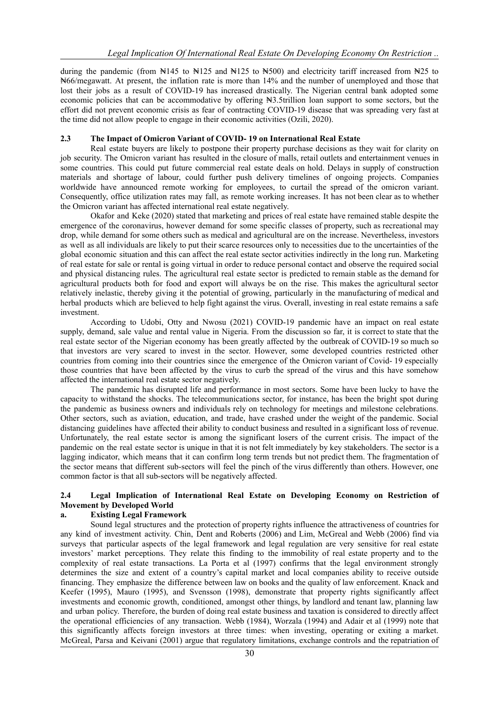during the pandemic (from  $\frac{1445}{145}$  to  $\frac{125}{125}$  and  $\frac{125}{125}$  to  $\frac{125}{125}$  to  $\frac{125}{125}$  to  $\frac{125}{125}$  to  $\frac{125}{125}$  to  $\frac{125}{125}$  to  $\frac{125}{125}$  to  $\frac{125}{125}$  to  $\frac{125}{125}$  to  $\frac{12$ ₦66/megawatt. At present, the inflation rate is more than 14% and the number of unemployed and those that lost their jobs as a result of COVID-19 has increased drastically. The Nigerian central bank adopted some economic policies that can be accommodative by offering  $\forall$ 3.5trillion loan support to some sectors, but the effort did not prevent economic crisis as fear of contracting COVID-19 disease that was spreading very fast at the time did not allow people to engage in their economic activities (Ozili, 2020).

### **2.3 The Impact of Omicron Variant of COVID- 19 on International Real Estate**

Real estate buyers are likely to postpone their property purchase decisions as they wait for clarity on job security. The Omicron variant has resulted in the closure of malls, retail outlets and entertainment venues in some countries. This could put future commercial real estate deals on hold. Delays in supply of construction materials and shortage of labour, could further push delivery timelines of ongoing projects. Companies worldwide have announced remote working for employees, to curtail the spread of the omicron variant. Consequently, office utilization rates may fall, as remote working increases. It has not been clear as to whether the Omicron variant has affected international real estate negatively.

Okafor and Keke (2020) stated that marketing and prices of real estate have remained stable despite the emergence of the coronavirus, however demand for some specific classes of property, such as recreational may drop, while demand for some others such as medical and agricultural are on the increase. Nevertheless, investors as well as all individuals are likely to put their scarce resources only to necessities due to the uncertainties of the global economic situation and this can affect the real estate sector activities indirectly in the long run. Marketing of real estate for sale or rental is going virtual in order to reduce personal contact and observe the required social and physical distancing rules. The agricultural real estate sector is predicted to remain stable as the demand for agricultural products both for food and export will always be on the rise. This makes the agricultural sector relatively inelastic, thereby giving it the potential of growing, particularly in the manufacturing of medical and herbal products which are believed to help fight against the virus. Overall, investing in real estate remains a safe investment.

According to Udobi, Otty and Nwosu (2021) COVID-19 pandemic have an impact on real estate supply, demand, sale value and rental value in Nigeria. From the discussion so far, it is correct to state that the real estate sector of the Nigerian economy has been greatly affected by the outbreak of COVID-19 so much so that investors are very scared to invest in the sector. However, some developed countries restricted other countries from coming into their countries since the emergence of the Omicron variant of Covid- 19 especially those countries that have been affected by the virus to curb the spread of the virus and this have somehow affected the international real estate sector negatively.

The pandemic has disrupted life and performance in most sectors. Some have been lucky to have the capacity to withstand the shocks. The telecommunications sector, for instance, has been the bright spot during the pandemic as business owners and individuals rely on technology for meetings and milestone celebrations. Other sectors, such as aviation, education, and trade, have crashed under the weight of the pandemic. Social distancing guidelines have affected their ability to conduct business and resulted in a significant loss of revenue. Unfortunately, the real estate sector is among the significant losers of the current crisis. The impact of the pandemic on the real estate sector is unique in that it is not felt immediately by key stakeholders. The sector is a lagging indicator, which means that it can confirm long term trends but not predict them. The fragmentation of the sector means that different sub-sectors will feel the pinch of the virus differently than others. However, one common factor is that all sub-sectors will be negatively affected.

## **2.4 Legal Implication of International Real Estate on Developing Economy on Restriction of Movement by Developed World**

#### **a. Existing Legal Framework**

Sound legal structures and the protection of property rights influence the attractiveness of countries for any kind of investment activity. Chin, Dent and Roberts (2006) and Lim, McGreal and Webb (2006) find via surveys that particular aspects of the legal framework and legal regulation are very sensitive for real estate investors' market perceptions. They relate this finding to the immobility of real estate property and to the complexity of real estate transactions. La Porta et al (1997) confirms that the legal environment strongly determines the size and extent of a country's capital market and local companies ability to receive outside financing. They emphasize the difference between law on books and the quality of law enforcement. Knack and Keefer (1995), Mauro (1995), and Svensson (1998), demonstrate that property rights significantly affect investments and economic growth, conditioned, amongst other things, by landlord and tenant law, planning law and urban policy. Therefore, the burden of doing real estate business and taxation is considered to directly affect the operational efficiencies of any transaction. Webb (1984), Worzala (1994) and Adair et al (1999) note that this significantly affects foreign investors at three times: when investing, operating or exiting a market. McGreal, Parsa and Keivani (2001) argue that regulatory limitations, exchange controls and the repatriation of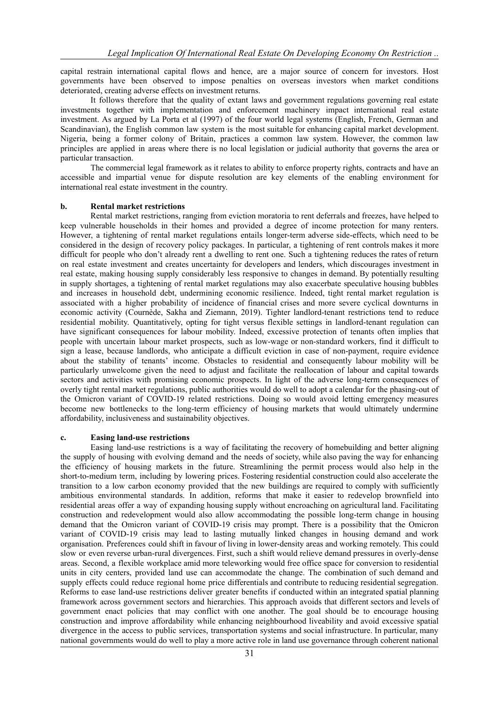capital restrain international capital flows and hence, are a major source of concern for investors. Host governments have been observed to impose penalties on overseas investors when market conditions deteriorated, creating adverse effects on investment returns.

It follows therefore that the quality of extant laws and government regulations governing real estate investments together with implementation and enforcement machinery impact international real estate investment. As argued by La Porta et al (1997) of the four world legal systems (English, French, German and Scandinavian), the English common law system is the most suitable for enhancing capital market development. Nigeria, being a former colony of Britain, practices a common law system. However, the common law principles are applied in areas where there is no local legislation or judicial authority that governs the area or particular transaction.

The commercial legal framework as it relates to ability to enforce property rights, contracts and have an accessible and impartial venue for dispute resolution are key elements of the enabling environment for international real estate investment in the country.

#### **b. Rental market restrictions**

Rental market restrictions, ranging from eviction moratoria to rent deferrals and freezes, have helped to keep vulnerable households in their homes and provided a degree of income protection for many renters. However, a tightening of rental market regulations entails longer-term adverse side-effects, which need to be considered in the design of recovery policy packages. In particular, a tightening of rent controls makes it more difficult for people who don't already rent a dwelling to rent one. Such a tightening reduces the rates of return on real estate investment and creates uncertainty for developers and lenders, which discourages investment in real estate, making housing supply considerably less responsive to changes in demand. By potentially resulting in supply shortages, a tightening of rental market regulations may also exacerbate speculative housing bubbles and increases in household debt, undermining economic resilience. Indeed, tight rental market regulation is associated with a higher probability of incidence of financial crises and more severe cyclical downturns in economic activity (Cournède, Sakha and Ziemann, 2019). Tighter landlord-tenant restrictions tend to reduce residential mobility. Quantitatively, opting for tight versus flexible settings in landlord-tenant regulation can have significant consequences for labour mobility. Indeed, excessive protection of tenants often implies that people with uncertain labour market prospects, such as low-wage or non-standard workers, find it difficult to sign a lease, because landlords, who anticipate a difficult eviction in case of non-payment, require evidence about the stability of tenants' income. Obstacles to residential and consequently labour mobility will be particularly unwelcome given the need to adjust and facilitate the reallocation of labour and capital towards sectors and activities with promising economic prospects. In light of the adverse long-term consequences of overly tight rental market regulations, public authorities would do well to adopt a calendar for the phasing-out of the Omicron variant of COVID-19 related restrictions. Doing so would avoid letting emergency measures become new bottlenecks to the long-term efficiency of housing markets that would ultimately undermine affordability, inclusiveness and sustainability objectives.

#### **c. Easing land-use restrictions**

Easing land-use restrictions is a way of facilitating the recovery of homebuilding and better aligning the supply of housing with evolving demand and the needs of society, while also paving the way for enhancing the efficiency of housing markets in the future. Streamlining the permit process would also help in the short-to-medium term, including by lowering prices. Fostering residential construction could also accelerate the transition to a low carbon economy provided that the new buildings are required to comply with sufficiently ambitious environmental standards. In addition, reforms that make it easier to redevelop brownfield into residential areas offer a way of expanding housing supply without encroaching on agricultural land. Facilitating construction and redevelopment would also allow accommodating the possible long-term change in housing demand that the Omicron variant of COVID-19 crisis may prompt. There is a possibility that the Omicron variant of COVID-19 crisis may lead to lasting mutually linked changes in housing demand and work organisation. Preferences could shift in favour of living in lower-density areas and working remotely. This could slow or even reverse urban-rural divergences. First, such a shift would relieve demand pressures in overly-dense areas. Second, a flexible workplace amid more teleworking would free office space for conversion to residential units in city centers, provided land use can accommodate the change. The combination of such demand and supply effects could reduce regional home price differentials and contribute to reducing residential segregation. Reforms to ease land-use restrictions deliver greater benefits if conducted within an integrated spatial planning framework across government sectors and hierarchies. This approach avoids that different sectors and levels of government enact policies that may conflict with one another. The goal should be to encourage housing construction and improve affordability while enhancing neighbourhood liveability and avoid excessive spatial divergence in the access to public services, transportation systems and social infrastructure. In particular, many national governments would do well to play a more active role in land use governance through coherent national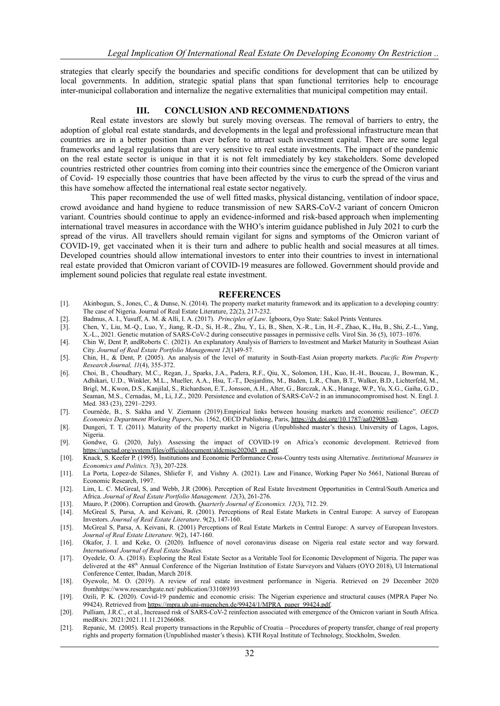strategies that clearly specify the boundaries and specific conditions for development that can be utilized by local governments. In addition, strategic spatial plans that span functional territories help to encourage inter-municipal collaboration and internalize the negative externalities that municipal competition may entail.

#### **III. CONCLUSION AND RECOMMENDATIONS**

Real estate investors are slowly but surely moving overseas. The removal of barriers to entry, the adoption of global real estate standards, and developments in the legal and professional infrastructure mean that countries are in a better position than ever before to attract such investment capital. There are some legal frameworks and legal regulations that are very sensitive to real estate investments. The impact of the pandemic on the real estate sector is unique in that it is not felt immediately by key stakeholders. Some developed countries restricted other countries from coming into their countries since the emergence of the Omicron variant of Covid- 19 especially those countries that have been affected by the virus to curb the spread of the virus and this have somehow affected the international real estate sector negatively.

This paper recommended the use of well fitted masks, physical distancing, ventilation of indoor space, crowd avoidance and hand hygiene to reduce transmission of new SARS-CoV-2 variant of concern Omicron variant. Countries should continue to apply an evidence-informed and risk-based approach when implementing international travel measures in accordance with the WHO's interim guidance published in July 2021 to curb the spread of the virus. All travellers should remain vigilant for signs and symptoms of the Omicron variant of COVID-19, get vaccinated when it is their turn and adhere to public health and social measures at all times. Developed countries should allow international investors to enter into their countries to invest in international real estate provided that Omicron variant of COVID-19 measures are followed. Government should provide and implement sound policies that regulate real estate investment.

#### **REFERENCES**

- [1]. Akinbogun, S., Jones, C., & Dunse, N. (2014). The property market maturity framework and its application to a developing country: The case of Nigeria. Journal of Real Estate Literature, 22(2), 217-232.
- 
- [2]. Badmus, A. I., Yusuff, A. M. & Alli, I. A. (2017). *Principles of Law*. Igboora, Oyo State: Sakol Prints Ventures. [3]. Chen, Y., Liu, M.-Q., Luo, Y., Jiang, R.-D., Si, H.-R., Zhu, Y., Li, B., Shen, X.-R., Lin, H.-F., Zhao, K., Hu, B., Shi, Z.-L., Yang, X.-L., 2021. Genetic mutation of SARS-CoV-2 during consecutive passages in permissive cells. Virol Sin. 36 (5), 1073–1076.
- [4]. Chin W, Dent P, andRoberts C. (2021). An explanatory Analysis of Barriers to Investment and Market Maturity in Southeast Asian City. *Journal of Real Estate Portfolio Management 12*(1)49-57.
- [5]. Chin, H., & Dent, P. (2005). An analysis of the level of maturity in South-East Asian property markets. *Pacific Rim Property Research Journal, 11*(4), 355-372.
- [6]. Choi, B., Choudhary, M.C., Regan, J., Sparks, J.A., Padera, R.F., Qiu, X., Solomon, I.H., Kuo, H.-H., Boucau, J., Bowman, K., Adhikari, U.D., Winkler, M.L., Mueller, A.A., Hsu, T.-T., Desjardins, M., Baden, L.R., Chan, B.T., Walker, B.D., Lichterfeld, M., Brigl, M., Kwon, D.S., Kanjilal, S., Richardson, E.T., Jonsson, A.H., Alter, G., Barczak, A.K., Hanage, W.P., Yu, X.G., Gaiha, G.D., Seaman, M.S., Cernadas, M., Li, J.Z., 2020. Persistence and evolution of SARS-CoV-2 in an immunocompromised host. N. Engl. J. Med. 383 (23), 2291–2293.
- [7]. Cournède, B., S. Sakha and V. Ziemann (2019).Empirical links between housing markets and economic resilience"*, OECD Economics Department Working Papers*, No. 1562, OECD Publishing, Paris, [https://dx.doi.org/10.1787/aa029083-en.](https://dx.doi.org/10.1787/aa029083-en)
- [8]. Dungeri, T. T. (2011). Maturity of the property market in Nigeria (Unpublished master's thesis). University of Lagos, Lagos, Nigeria.
- [9]. Gondwe, G. (2020, July). Assessing the impact of COVID-19 on Africa's economic development. Retrieved from [https://unctad.org/system/files/officialdocument/aldcmisc2020d3\\_en.pdf.](https://unctad.org/system/files/officialdocument/aldcmisc2020d3_en.pdf)
- [10]. Knack, S. Keefer P. (1995). Institutions and Economic Performance Cross-Country tests using Alternative. *Institutional Measures in Economics and Politics. 7*(3), 207-228.
- [11]. La Porta, Lopez-de Silanes, Shliefer F, and Vishny A. (2021). Law and Finance, Working Paper No 5661, National Bureau of Economic Research, 1997.
- [12]. Lim, L. C. McGreal, S, and Webb, J.R (2006). Perception of Real Estate Investment Opportunities in Central/South America and Africa. *Journal of Real Estate Portfolio Management. 12*(3), 261-276.
- [13]. Mauro, P. (2006). Corruption and Growth. *Quarterly Journal of Economics. 12*(3), 712. 29.
- [14]. McGreal S, Parsa, A. and Keivani, R. (2001). Perceptions of Real Estate Markets in Central Europe: A survey of European Investors. *Journal of Real Estate Literature*. 9(2), 147-160.
- [15]. McGreal S, Parsa, A. Keivani, R. (2001) Perceptions of Real Estate Markets in Central Europe: A survey of European Investors. *Journal of Real Estate Literature*. 9(2), 147-160.
- [16]. Okafor, J. I. and Keke, O. (2020). Influence of novel coronavirus disease on Nigeria real estate sector and way forward. *International Journal of Real Estate Studies.*
- [17]. Oyedele, O. A. (2018). Exploring the Real Estate Sector as a Veritable Tool for Economic Development of Nigeria. The paper was delivered at the 48<sup>th</sup> Annual Conference of the Nigerian Institution of Estate Surveyors and Valuers (OYO 2018), UI International Conference Center, Ibadan, March 2018.
- [18]. Oyewole, M. O. (2019). A review of real estate investment performance in Nigeria. Retrieved on 29 December 2020 fromhttps://www.researchgate.net/ publication/331089393
- [19]. Ozili, P. K. (2020). Covid-19 pandemic and economic crisis: The Nigerian experience and structural causes (MPRA Paper No. 99424). Retrieved from [https://mpra.ub.uni-muenchen.de/99424/1/MPRA\\_paper\\_99424.pdf.](https://mpra.ub.uni-muenchen.de/99424/1/MPRA_paper_99424.pdf)
- [20]. Pulliam, J.R.C., et al., Increased risk of SARS-CoV-2 reinfection associated with emergence of the Omicron variant in South Africa. medRxiv. 2021:2021.11.11.21266068.
- [21]. Repanic, M. (2005). Real property transactions in the Republic of Croatia Procedures of property transfer, change of real property rights and property formation (Unpublished master's thesis). KTH Royal Institute of Technology, Stockholm, Sweden.